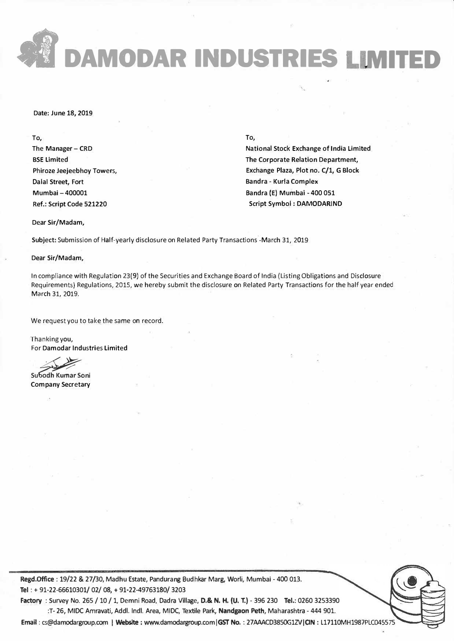*DAMODAR INDUSTRIES LIMITED* 

Date: June 18, 2019

To, To, The Manager - CRD BSE Limited Phiroze Jeejeebhoy Towers, Dalal Street, Fort

National Stock Exchange of India Limited The Corporate Relation Department, Exchange Plaza, Plot no. C/1, G Block Bandra - Kurla Complex Mumbai - 400001 Sandra (E) Mumbai - 400 051 Ref.: Script Code 521220 **Script Code 521220** Script Symbol: DAMODARIND

Dear Sir/Madam,

Subject: Submission of Half-yearly disclosure on Related Party Transactions -March 31, 2019

Dear Sir/Madam,

In compliance with Regulation 23(9) of the Securities and Exchange Board of India (Listing Obligations and Disclosure Requirements) Regulations, 2015, we hereby submit the disclosure on Related Party Transactions for the half year ended March 31, 2019.

We request you to take the same on record.

Thanking you, For Damodar Industries Limited

Subodh Kumar Soni Company Secretary

**Regd.Office** : 19/22 & 27 /30, Madhu Estate, Pandurang Budhkar Marg, Worli, Mumbai - 400 013. Tel:+ 91-22-66610301/ 02/ 08, + 91-22-49763180/ 3203

**Factory** : Survey No. 265 / 10 / 1, Demni Road, Dadra Village, **D.& N.** H. {U. T.) - 396 230 Tel.: 0260 3253390 :T- 26, MIDC Amravati, Addi. lndl. Area, MIDC, Textile Park, **Nandgaon Peth,** Maharashtra - 444 901.

**Email:** cs@damodargroup.com I Website: www.damodargroup.com1GST **No.:** 27AAACD3850G1ZVION: L17110MH1987PLC045575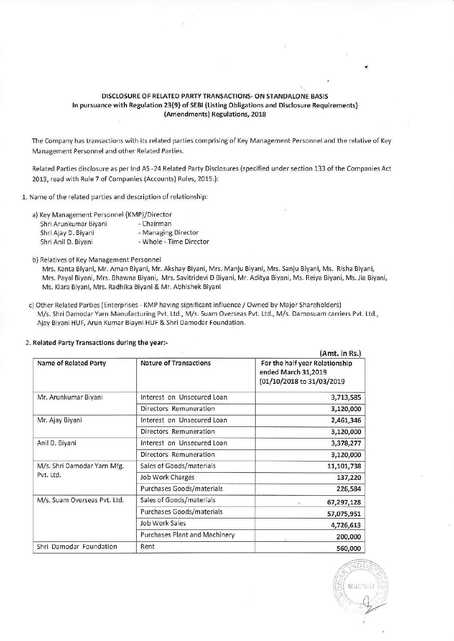## DISCLOSURE OF RELATED PARTY TRANSACTIONS- ON STANDALONE BASIS In pursuance with Regulation 23{9} of SEBI (Listing Obligations and Disclosure Requirements} (Amendments) Regulations, 2018

The Company has transactions with its related parties comprising of Key Management Personnel and the relative of Key Management Personnel and other Related Parties.

Related Parties disclosure as per Ind AS-24 Related Party Disclosures (specified under section 133 of the Companies Act 2013, read with Rule 7 of Companies (Accounts) Rules, 2015.):

1. Name of the related parties and description of relationship:

- a) Key Management Personnel (KMP)/Director
	- Shri Arunkumar Biyani Chairman
	- Shri Ajay D. Biyani Managing Director
	- Shri Anil D. Biyani **Whole Time Director**
- b) Relatives of Key Management Personnel

Mrs. Kanta Biyani, Mr. Aman Biyani, Mr. Akshay Biyani, Mrs. Manju Biyani, Mrs. sanju Biyani, Ms. Risha Biyani, Mrs. PayalBiyani, Mrs. Bhawna Biyani, Mrs. SavitrideviD Biyani, Mr. Aditya Eiyani, Ms. Reiya Biyani, Ms.lia Biyani, Ms. Kiara Biyani, Mrs. Radhika Biyani & Mr. Abhishek Biyani

c) Other Related Parties (Enterprises - KMP having significant influence / Owned by Major Shareholders) M/s. Shri Damodar Yarn Manufacturing Pvt. Ltd., M/s. Suam Overseas Pvt. Ltd., M/s. Damosuam carriers Pvt. Ltd., Ajay Biyani HUF, Arun Kumar Biayni HUF & Shri Damodar Foundation.

| (Amt. in Rs.)                            |                               |                                                                                    |
|------------------------------------------|-------------------------------|------------------------------------------------------------------------------------|
| Name of Related Party                    | <b>Nature of Transactions</b> | For the half year Relationship<br>ended March 31,2019<br>(01/10/2018 to 31/03/2019 |
| Mr. Arunkumar Biyani                     | Interest on Unsecured Loan    | 3,713,585                                                                          |
|                                          | Directors Remuneration        | 3,120,000                                                                          |
| Mr. Ajay Biyani                          | Interest on Unsecured Loan    | 2,461,346                                                                          |
|                                          | Directors Remuneration        | 3,120,000                                                                          |
| Anil D. Biyani                           | Interest on Unsecured Loan    | 3,378,277                                                                          |
|                                          | Directors Remuneration        | 3,120,000                                                                          |
| M/s. Shri Damodar Yarn Mfg.<br>Pvt. Ltd. | Sales of Goods/materials      | 11,101,738                                                                         |
|                                          | Job Work Charges              | 137,220                                                                            |
|                                          | Purchases Goods/materials     | 226,584                                                                            |
| M/s. Suam Overseas Pvt. Ltd.             | Sales of Goods/materials      | 67,297,128<br>$\mathcal{F}_{\mathcal{X},\mathcal{Y}}$                              |
|                                          | Purchases Goods/materials     | 57,075,951                                                                         |
|                                          | Job Work Sales                | 4,726,613                                                                          |
|                                          | Purchases Plant and Machinery | 200,000                                                                            |
| Shri Damodar Foundation                  | Rent                          | 560,000                                                                            |